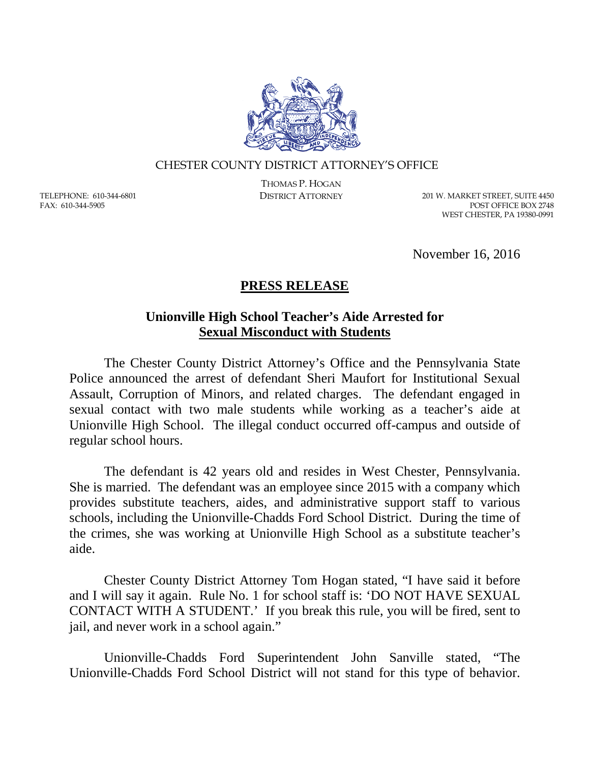

## CHESTER COUNTY DISTRICT ATTORNEY'S OFFICE

TELEPHONE: 610-344-6801 FAX: 610-344-5905

THOMAS P. HOGAN

DISTRICT ATTORNEY 201 W. MARKET STREET, SUITE 4450 POST OFFICE BOX 2748 WEST CHESTER, PA 19380-0991

November 16, 2016

## **PRESS RELEASE**

## **Unionville High School Teacher's Aide Arrested for Sexual Misconduct with Students**

The Chester County District Attorney's Office and the Pennsylvania State Police announced the arrest of defendant Sheri Maufort for Institutional Sexual Assault, Corruption of Minors, and related charges. The defendant engaged in sexual contact with two male students while working as a teacher's aide at Unionville High School. The illegal conduct occurred off-campus and outside of regular school hours.

The defendant is 42 years old and resides in West Chester, Pennsylvania. She is married. The defendant was an employee since 2015 with a company which provides substitute teachers, aides, and administrative support staff to various schools, including the Unionville-Chadds Ford School District. During the time of the crimes, she was working at Unionville High School as a substitute teacher's aide.

Chester County District Attorney Tom Hogan stated, "I have said it before and I will say it again. Rule No. 1 for school staff is: 'DO NOT HAVE SEXUAL CONTACT WITH A STUDENT.' If you break this rule, you will be fired, sent to jail, and never work in a school again."

Unionville-Chadds Ford Superintendent John Sanville stated, "The Unionville-Chadds Ford School District will not stand for this type of behavior.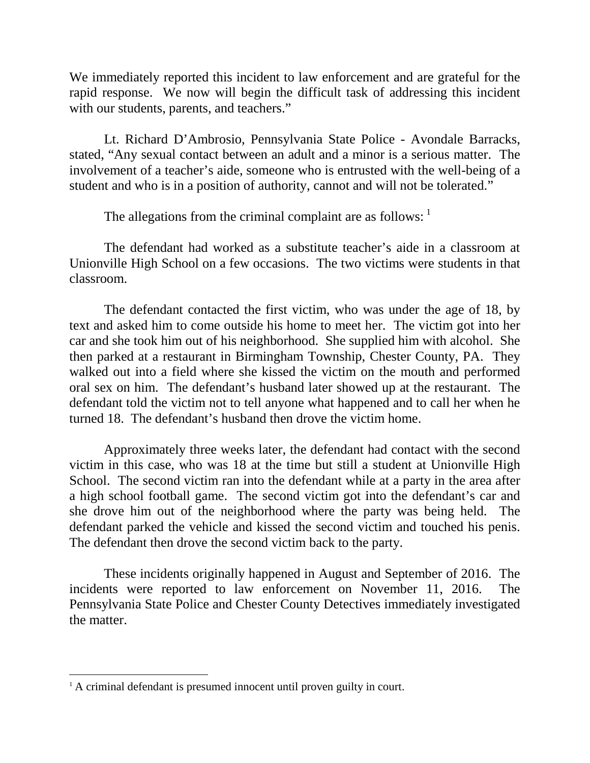We immediately reported this incident to law enforcement and are grateful for the rapid response. We now will begin the difficult task of addressing this incident with our students, parents, and teachers."

Lt. Richard D'Ambrosio, Pennsylvania State Police - Avondale Barracks, stated, "Any sexual contact between an adult and a minor is a serious matter. The involvement of a teacher's aide, someone who is entrusted with the well-being of a student and who is in a position of authority, cannot and will not be tolerated."

The allegations from the criminal complaint are as follows:  $<sup>1</sup>$  $<sup>1</sup>$  $<sup>1</sup>$ </sup>

The defendant had worked as a substitute teacher's aide in a classroom at Unionville High School on a few occasions. The two victims were students in that classroom.

The defendant contacted the first victim, who was under the age of 18, by text and asked him to come outside his home to meet her. The victim got into her car and she took him out of his neighborhood. She supplied him with alcohol. She then parked at a restaurant in Birmingham Township, Chester County, PA. They walked out into a field where she kissed the victim on the mouth and performed oral sex on him. The defendant's husband later showed up at the restaurant. The defendant told the victim not to tell anyone what happened and to call her when he turned 18. The defendant's husband then drove the victim home.

Approximately three weeks later, the defendant had contact with the second victim in this case, who was 18 at the time but still a student at Unionville High School. The second victim ran into the defendant while at a party in the area after a high school football game. The second victim got into the defendant's car and she drove him out of the neighborhood where the party was being held. The defendant parked the vehicle and kissed the second victim and touched his penis. The defendant then drove the second victim back to the party.

These incidents originally happened in August and September of 2016. The incidents were reported to law enforcement on November 11, 2016. The Pennsylvania State Police and Chester County Detectives immediately investigated the matter.

<span id="page-1-0"></span><sup>&</sup>lt;sup>1</sup> A criminal defendant is presumed innocent until proven guilty in court.